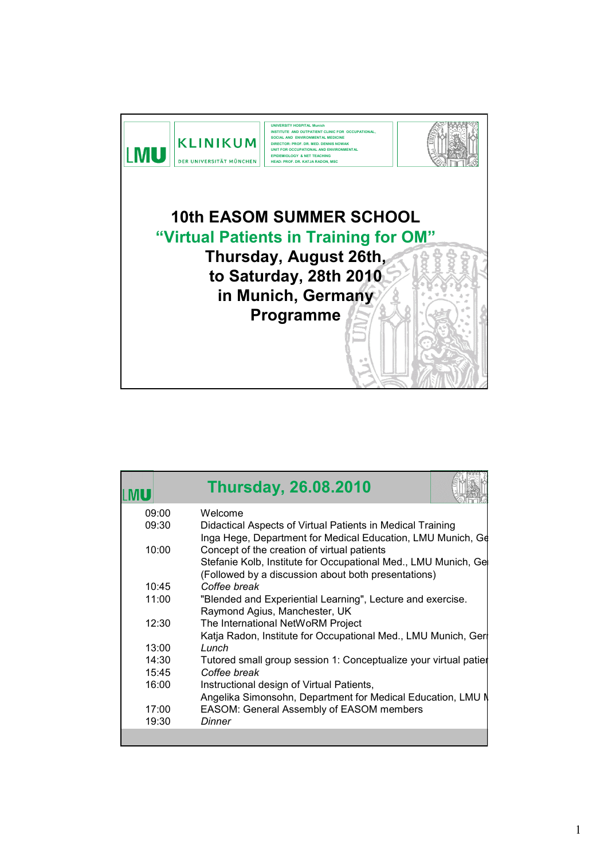

|       | <b>Thursday, 26.08.2010</b>                                                                                                                                          |
|-------|----------------------------------------------------------------------------------------------------------------------------------------------------------------------|
| 09:00 | Welcome                                                                                                                                                              |
| 09:30 | Didactical Aspects of Virtual Patients in Medical Training<br>Inga Hege, Department for Medical Education, LMU Munich, Ge                                            |
| 10:00 | Concept of the creation of virtual patients<br>Stefanie Kolb, Institute for Occupational Med., LMU Munich, Ge<br>(Followed by a discussion about both presentations) |
| 10:45 | Coffee break                                                                                                                                                         |
| 11:00 | "Blended and Experiential Learning", Lecture and exercise.<br>Raymond Agius, Manchester, UK                                                                          |
| 12:30 | The International NetWoRM Project<br>Katja Radon, Institute for Occupational Med., LMU Munich, Ger                                                                   |
| 13:00 | Lunch                                                                                                                                                                |
| 14:30 | Tutored small group session 1: Conceptualize your virtual patier                                                                                                     |
| 15:45 | Coffee break                                                                                                                                                         |
| 16:00 | Instructional design of Virtual Patients,<br>Angelika Simonsohn, Department for Medical Education, LMU N                                                             |
| 17:00 | EASOM: General Assembly of EASOM members                                                                                                                             |
| 19:30 | Dinner                                                                                                                                                               |